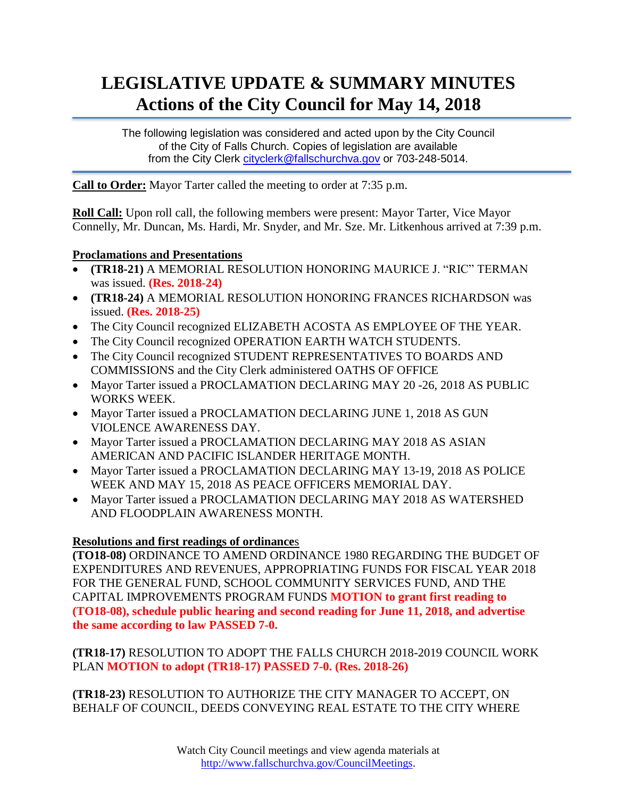# **LEGISLATIVE UPDATE & SUMMARY MINUTES Actions of the City Council for May 14, 2018**

The following legislation was considered and acted upon by the City Council of the City of Falls Church. Copies of legislation are available from the City Clerk [cityclerk@fallschurchva.gov](mailto:cityclerk@fallschurchva.gov) or 703-248-5014.

**Call to Order:** Mayor Tarter called the meeting to order at 7:35 p.m.

**Roll Call:** Upon roll call, the following members were present: Mayor Tarter, Vice Mayor Connelly, Mr. Duncan, Ms. Hardi, Mr. Snyder, and Mr. Sze. Mr. Litkenhous arrived at 7:39 p.m.

#### **Proclamations and Presentations**

- **(TR18-21)** A MEMORIAL RESOLUTION HONORING MAURICE J. "RIC" TERMAN was issued. **(Res. 2018-24)**
- **(TR18-24)** A MEMORIAL RESOLUTION HONORING FRANCES RICHARDSON was issued. **(Res. 2018-25)**
- The City Council recognized ELIZABETH ACOSTA AS EMPLOYEE OF THE YEAR.
- The City Council recognized OPERATION EARTH WATCH STUDENTS.
- The City Council recognized STUDENT REPRESENTATIVES TO BOARDS AND COMMISSIONS and the City Clerk administered OATHS OF OFFICE
- Mayor Tarter issued a PROCLAMATION DECLARING MAY 20 -26, 2018 AS PUBLIC WORKS WEEK.
- Mayor Tarter issued a PROCLAMATION DECLARING JUNE 1, 2018 AS GUN VIOLENCE AWARENESS DAY.
- Mayor Tarter issued a PROCLAMATION DECLARING MAY 2018 AS ASIAN AMERICAN AND PACIFIC ISLANDER HERITAGE MONTH.
- Mayor Tarter issued a PROCLAMATION DECLARING MAY 13-19, 2018 AS POLICE WEEK AND MAY 15, 2018 AS PEACE OFFICERS MEMORIAL DAY.
- Mayor Tarter issued a PROCLAMATION DECLARING MAY 2018 AS WATERSHED AND FLOODPLAIN AWARENESS MONTH.

### **Resolutions and first readings of ordinance**s

**(TO18-08)** ORDINANCE TO AMEND ORDINANCE 1980 REGARDING THE BUDGET OF EXPENDITURES AND REVENUES, APPROPRIATING FUNDS FOR FISCAL YEAR 2018 FOR THE GENERAL FUND, SCHOOL COMMUNITY SERVICES FUND, AND THE CAPITAL IMPROVEMENTS PROGRAM FUNDS **MOTION to grant first reading to (TO18-08), schedule public hearing and second reading for June 11, 2018, and advertise the same according to law PASSED 7-0.**

**(TR18-17)** RESOLUTION TO ADOPT THE FALLS CHURCH 2018-2019 COUNCIL WORK PLAN **MOTION to adopt (TR18-17) PASSED 7-0. (Res. 2018-26)**

**(TR18-23)** RESOLUTION TO AUTHORIZE THE CITY MANAGER TO ACCEPT, ON BEHALF OF COUNCIL, DEEDS CONVEYING REAL ESTATE TO THE CITY WHERE